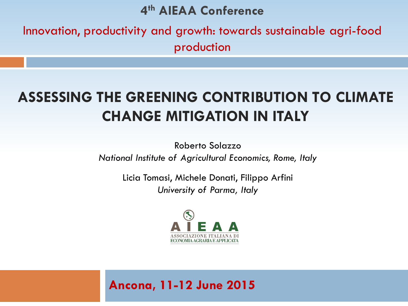#### **4 th AIEAA Conference**

Innovation, productivity and growth: towards sustainable agri-food production

#### **ASSESSING THE GREENING CONTRIBUTION TO CLIMATE CHANGE MITIGATION IN ITALY**

Roberto Solazzo *National Institute of Agricultural Economics, Rome, Italy*

> Licia Tomasi, Michele Donati, Filippo Arfini *University of Parma, Italy*



#### **Ancona, 11-12 June 2015**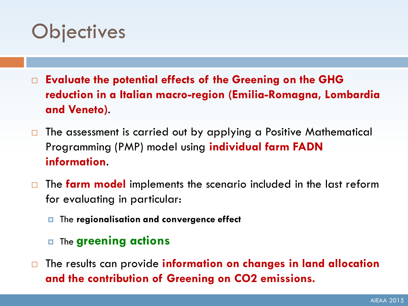#### **Objectives**

- **Evaluate the potential effects of the Greening on the GHG reduction in a Italian macro-region (Emilia-Romagna, Lombardia and Veneto)**.
- $\Box$  The assessment is carried out by applying a Positive Mathematical Programming (PMP) model using **individual farm FADN information**.
- The **farm model** implements the scenario included in the last reform for evaluating in particular:
	- The **regionalisation and convergence effect**
	- The **greening actions**
- The results can provide **information on changes in land allocation and the contribution of Greening on CO2 emissions.**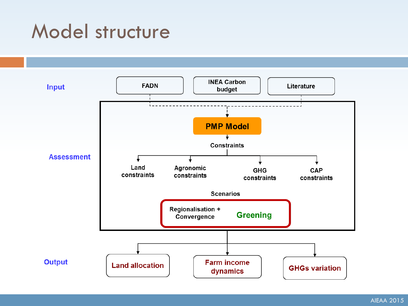#### Model structure

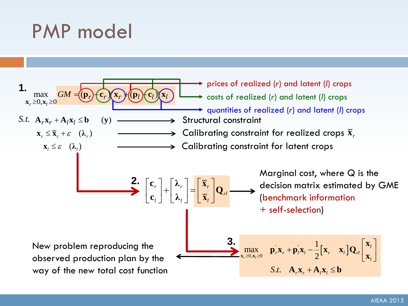# PMP model

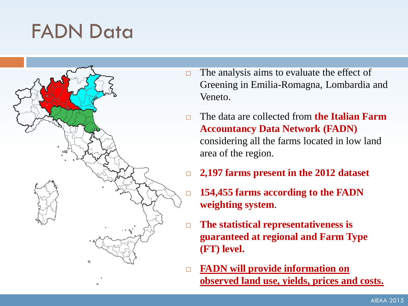### FADN Data



- $\Box$  The analysis aims to evaluate the effect of Greening in Emilia-Romagna, Lombardia and Veneto.
- The data are collected from **the Italian Farm Accountancy Data Network (FADN)** considering all the farms located in low land area of the region.
- **2,197 farms present in the 2012 dataset**
- **154,455 farms according to the FADN weighting system**.
- **The statistical representativeness is guaranteed at regional and Farm Type (FT) level.**
- **FADN will provide information on observed land use, yields, prices and costs.**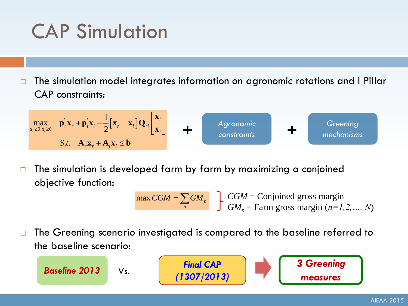# CAP Simulation

 $\Box$  The simulation model integrates information on agronomic rotations and I Pillar CAP constraints:

$$
\max_{\mathbf{x}_{r} \geq 0, \mathbf{x}_{i} \geq 0} \mathbf{p}_{r} \mathbf{x}_{r} + \mathbf{p}_{i} \mathbf{x}_{i} - \frac{1}{2} [\mathbf{x}_{r} \mathbf{x}_{i}] \mathbf{Q}_{r} \begin{bmatrix} \mathbf{x}_{i} \\ \mathbf{x}_{i} \end{bmatrix}
$$
   
 
$$
\mathbf{H} \qquad \text{Agronomic} \qquad \text{Greening} \qquad \text{onechanisms} \qquad \text{Borems}
$$

 $\Box$  The simulation is developed farm by farm by maximizing a conjoined objective function:

> $\max CGM = \sum GM_n$ *n*  $\overline{CGM} = \sum GM_n$   $\sum_{n=1}^{n} \overline{CGM} =$  Conjoined gross margin  $GM_n$  = Farm gross margin ( $n=1,2,...,N$ )

□ The Greening scenario investigated is compared to the baseline referred to the baseline scenario:

*Final CAP (1307/2013) Baseline 2013* Vs. *3 Greening measures*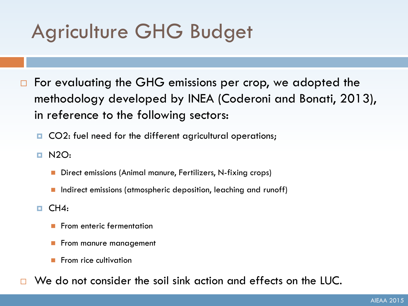# Agriculture GHG Budget

- □ For evaluating the GHG emissions per crop, we adopted the methodology developed by INEA (Coderoni and Bonati, 2013), in reference to the following sectors:
	- CO2: fuel need for the different agricultural operations;
	- **D** N2O:
		- Direct emissions (Animal manure, Fertilizers, N-fixing crops)
		- Indirect emissions (atmospheric deposition, leaching and runoff)
	- $\Box$  CH4:
		- From enteric fermentation
		- From manure management
		- From rice cultivation
- We do not consider the soil sink action and effects on the LUC.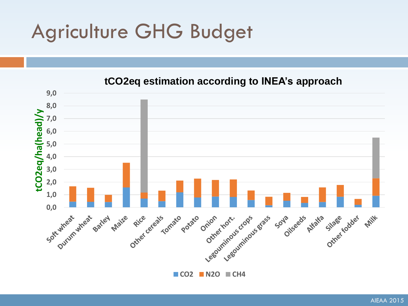# Agriculture GHG Budget



**CO2 N2O CH4**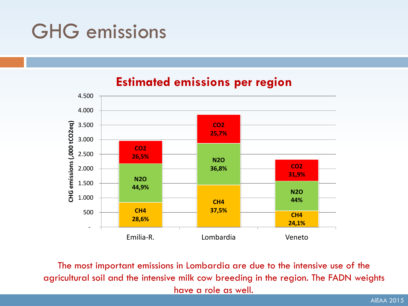### GHG emissions

#### **Estimated emissions per region**



The most important emissions in Lombardia are due to the intensive use of the agricultural soil and the intensive milk cow breeding in the region. The FADN weights have a role as well.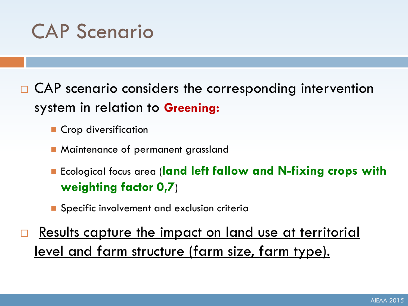

- $\Box$  CAP scenario considers the corresponding intervention system in relation to **Greening:**
	- Crop diversification
	- **Maintenance of permanent grassland**
	- Ecological focus area (**land left fallow and N-fixing crops with weighting factor 0,7**)
	- **Specific involvement and exclusion criteria**
- Results capture the impact on land use at territorial level and farm structure (farm size, farm type).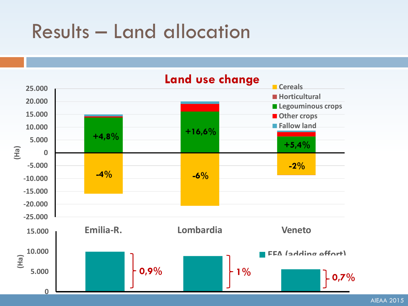#### Results – Land allocation



AIEAA 2015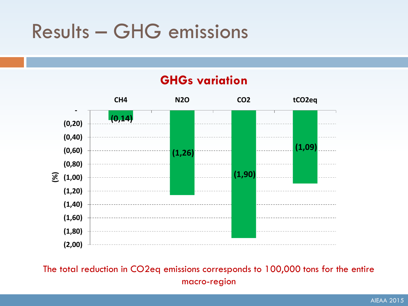## Results – GHG emissions



The total reduction in CO2eq emissions corresponds to 100,000 tons for the entire macro-region

#### **GHGs variation**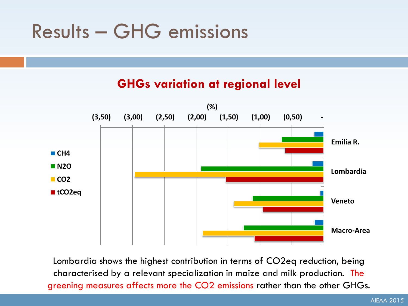### Results – GHG emissions

#### **GHGs variation at regional level**



Lombardia shows the highest contribution in terms of CO2eq reduction, being characterised by a relevant specialization in maize and milk production. The greening measures affects more the CO2 emissions rather than the other GHGs.